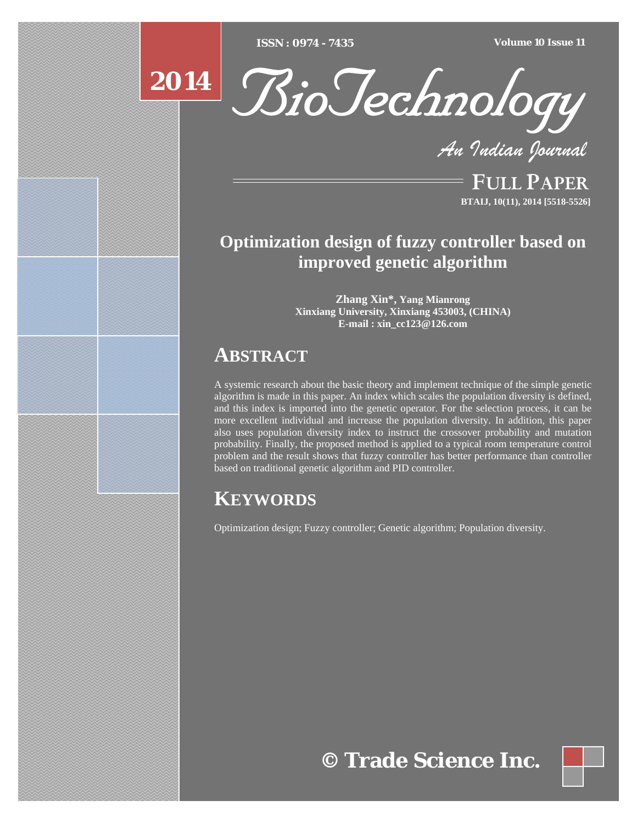[Type text] [Type text] [Type text] *ISSN : 0974 - 7435 Volume 10 Issue 11*



*An Indian Journal*

FULL PAPER **BTAIJ, 10(11), 2014 [5518-5526]**

# **Optimization design of fuzzy controller based on improved genetic algorithm**

**Zhang Xin\*, Yang Mianrong Xinxiang University, Xinxiang 453003, (CHINA) E-mail : xin\_cc123@126.com**

# **ABSTRACT**

A systemic research about the basic theory and implement technique of the simple genetic algorithm is made in this paper. An index which scales the population diversity is defined, and this index is imported into the genetic operator. For the selection process, it can be more excellent individual and increase the population diversity. In addition, this paper also uses population diversity index to instruct the crossover probability and mutation probability. Finally, the proposed method is applied to a typical room temperature control problem and the result shows that fuzzy controller has better performance than controller based on traditional genetic algorithm and PID controller.

# **KEYWORDS**

Optimization design; Fuzzy controller; Genetic algorithm; Population diversity.

# **© Trade Science Inc.**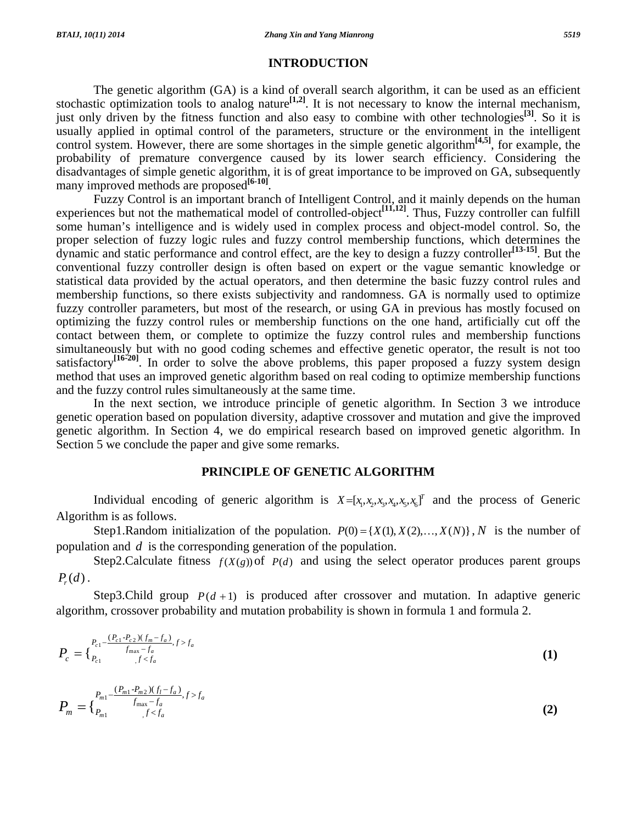### **INTRODUCTION**

 The genetic algorithm (GA) is a kind of overall search algorithm, it can be used as an efficient stochastic optimization tools to analog nature<sup>[1,2]</sup>. It is not necessary to know the internal mechanism, just only driven by the fitness function and also easy to combine with other technologies<sup>[3]</sup>. So it is usually applied in optimal control of the parameters, structure or the environment in the intelligent control system. However, there are some shortages in the simple genetic algorithm**[4,5]**, for example, the probability of premature convergence caused by its lower search efficiency. Considering the disadvantages of simple genetic algorithm, it is of great importance to be improved on GA, subsequently many improved methods are proposed<sup>[6-10]</sup>.

 Fuzzy Control is an important branch of Intelligent Control, and it mainly depends on the human experiences but not the mathematical model of controlled-object<sup>[11,12]</sup>. Thus, Fuzzy controller can fulfill some human's intelligence and is widely used in complex process and object-model control. So, the proper selection of fuzzy logic rules and fuzzy control membership functions, which determines the dynamic and static performance and control effect, are the key to design a fuzzy controller**[13-15]**. But the conventional fuzzy controller design is often based on expert or the vague semantic knowledge or statistical data provided by the actual operators, and then determine the basic fuzzy control rules and membership functions, so there exists subjectivity and randomness. GA is normally used to optimize fuzzy controller parameters, but most of the research, or using GA in previous has mostly focused on optimizing the fuzzy control rules or membership functions on the one hand, artificially cut off the contact between them, or complete to optimize the fuzzy control rules and membership functions simultaneously but with no good coding schemes and effective genetic operator, the result is not too satisfactory<sup>[16-20]</sup>. In order to solve the above problems, this paper proposed a fuzzy system design method that uses an improved genetic algorithm based on real coding to optimize membership functions and the fuzzy control rules simultaneously at the same time.

 In the next section, we introduce principle of genetic algorithm. In Section 3 we introduce genetic operation based on population diversity, adaptive crossover and mutation and give the improved genetic algorithm. In Section 4, we do empirical research based on improved genetic algorithm. In Section 5 we conclude the paper and give some remarks.

# **PRINCIPLE OF GENETIC ALGORITHM**

Individual encoding of generic algorithm is  $X=[x_1, x_2, x_3, x_4, x_5]^T$  and the process of Generic Algorithm is as follows.

Step1.Random initialization of the population.  $P(0) = \{X(1), X(2), ..., X(N)\}\,$ , *N* is the number of population and *d* is the corresponding generation of the population.

Step2.Calculate fitness  $f(X(g))$  of  $P(d)$  and using the select operator produces parent groups  $P_r(d)$ .

Step3.Child group  $P(d+1)$  is produced after crossover and mutation. In adaptive generic algorithm, crossover probability and mutation probability is shown in formula 1 and formula 2.

$$
P_c = \{ \begin{matrix} P_{c1} - \frac{(P_{c1} - P_{c2})(f_m - f_a)}{f_{\text{max}} - f_a}, f > f_a \\ P_{c1} & f < f_a \end{matrix} \} \tag{1}
$$

$$
P_m = \begin{cases} P_{m1} - \frac{(P_{m1} - P_{m2})(f_l - f_a)}{f_{\text{max}} - f_a}, f > f_a \\ P_{m1} & f < f_a \end{cases} \tag{2}
$$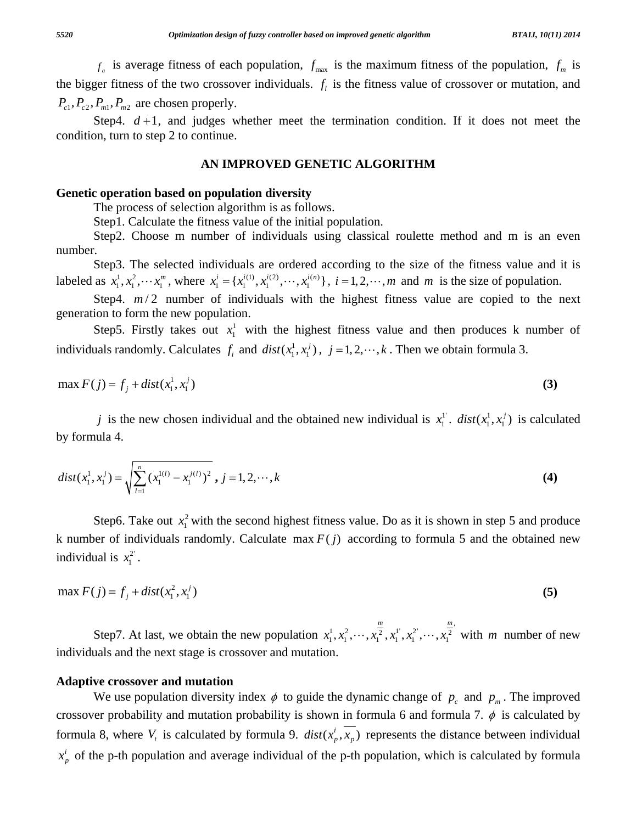$f_a$  is average fitness of each population,  $f_{\text{max}}$  is the maximum fitness of the population,  $f_m$  is the bigger fitness of the two crossover individuals.  $f_i$  is the fitness value of crossover or mutation, and  $P_{c1}, P_{c2}, P_{m1}, P_{m2}$  are chosen properly.

Step4.  $d+1$ , and judges whether meet the termination condition. If it does not meet the condition, turn to step 2 to continue.

#### **AN IMPROVED GENETIC ALGORITHM**

#### **Genetic operation based on population diversity**

The process of selection algorithm is as follows.

Step1. Calculate the fitness value of the initial population.

 Step2. Choose m number of individuals using classical roulette method and m is an even number.

 Step3. The selected individuals are ordered according to the size of the fitness value and it is labeled as  $x_1^1, x_1^2, \dots, x_n^m$ , where  $x_1^i = \{x_1^{i(1)}, x_1^{i(2)}, \dots, x_1^{i(n)}\}$ ,  $i = 1, 2, \dots, m$  and *m* is the size of population.

Step4.  $m/2$  number of individuals with the highest fitness value are copied to the next generation to form the new population.

Step5. Firstly takes out  $x_1^1$  with the highest fitness value and then produces k number of individuals randomly. Calculates  $f_i$  and  $dist(x_1^1, x_1^j)$ ,  $j = 1, 2, \dots, k$ . Then we obtain formula 3.

$$
\max F(j) = f_j + dist(x_1^1, x_1^j) \tag{3}
$$

*j* is the new chosen individual and the obtained new individual is  $x_1^{\perp}$ .  $dist(x_1^{\perp}, x_1^{\perp})$  is calculated by formula 4.

$$
dist(x_1^1, x_1^j) = \sqrt{\sum_{l=1}^n (x_1^{l(l)} - x_1^{j(l)})^2}, j = 1, 2, \cdots, k
$$
 (4)

Step6. Take out  $x_1^2$  with the second highest fitness value. Do as it is shown in step 5 and produce k number of individuals randomly. Calculate max  $F(j)$  according to formula 5 and the obtained new individual is  $x_1^2$ .

$$
\max F(j) = f_j + dist(x_1^2, x_1^j) \tag{5}
$$

Step7. At last, we obtain the new population  $x_1^1, x_1^2, \dots, x_1^2, x_1^1, x_1^2, \dots, x_1^2$ *m m*  $x_1^1, x_1^2, \dots, x_1^2, x_1^1, x_1^2, \dots, x_1^2$  with *m* number of new individuals and the next stage is crossover and mutation.

#### **Adaptive crossover and mutation**

We use population diversity index  $\phi$  to guide the dynamic change of  $p_c$  and  $p_m$ . The improved crossover probability and mutation probability is shown in formula 6 and formula 7.  $\phi$  is calculated by formula 8, where  $V_t$  is calculated by formula 9.  $dist(x_p^i, \overline{x_p})$  represents the distance between individual  $x_p^i$  of the p-th population and average individual of the p-th population, which is calculated by formula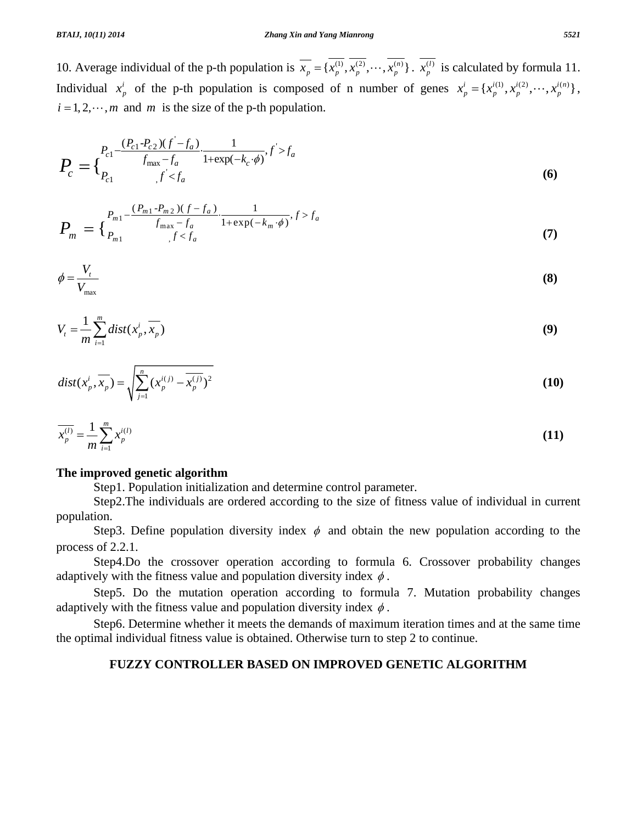10. Average individual of the p-th population is  $\overline{x}_p = \{x_p^{(1)}, x_p^{(2)}, \dots, x_p^{(n)}\}$ .  $x_p^{(l)}$  is calculated by formula 11. Individual  $x_p^i$  of the p-th population is composed of n number of genes  $x_p^i = \{x_p^{i(1)}, x_p^{i(2)}, \dots, x_p^{i(n)}\}$ ,  $i = 1, 2, \dots, m$  and *m* is the size of the p-th population.

$$
P_c = \{ \sum_{P_{c1}}^{P_{c1} - \frac{(P_{c1} - P_{c2})(f' - f_a)}{f_{\text{max}} - f_a} \cdot \frac{1}{1 + \exp(-k_c \cdot \phi)}, f' > f_a \}
$$
(6)

$$
P_m = \begin{cases} P_{m1} - \frac{(P_{m1} - P_{m2})(f - f_a)}{f_{\max} - f_a} \cdot \frac{1}{1 + \exp(-k_m \cdot \phi)}, f > f_a \\ P_{m1} & f < f_a \end{cases} \tag{7}
$$

$$
\phi = \frac{V_t}{V_{\text{max}}} \tag{8}
$$

$$
V_t = \frac{1}{m} \sum_{i=1}^m \text{dist}(x_p^i, \overline{x_p})
$$
\n(9)

$$
dist(x_p^i, \overline{x_p}) = \sqrt{\sum_{j=1}^n (x_p^{i(j)} - \overline{x_p^{(j)}})^2}
$$
 (10)

$$
\overline{x_p^{(l)}} = \frac{1}{m} \sum_{i=1}^m x_p^{i(l)}
$$
\n(11)

# **The improved genetic algorithm**

Step1. Population initialization and determine control parameter.

 Step2.The individuals are ordered according to the size of fitness value of individual in current population.

Step3. Define population diversity index  $\phi$  and obtain the new population according to the process of 2.2.1.

 Step4.Do the crossover operation according to formula 6. Crossover probability changes adaptively with the fitness value and population diversity index  $\phi$ .

 Step5. Do the mutation operation according to formula 7. Mutation probability changes adaptively with the fitness value and population diversity index  $\phi$ .

 Step6. Determine whether it meets the demands of maximum iteration times and at the same time the optimal individual fitness value is obtained. Otherwise turn to step 2 to continue.

# **FUZZY CONTROLLER BASED ON IMPROVED GENETIC ALGORITHM**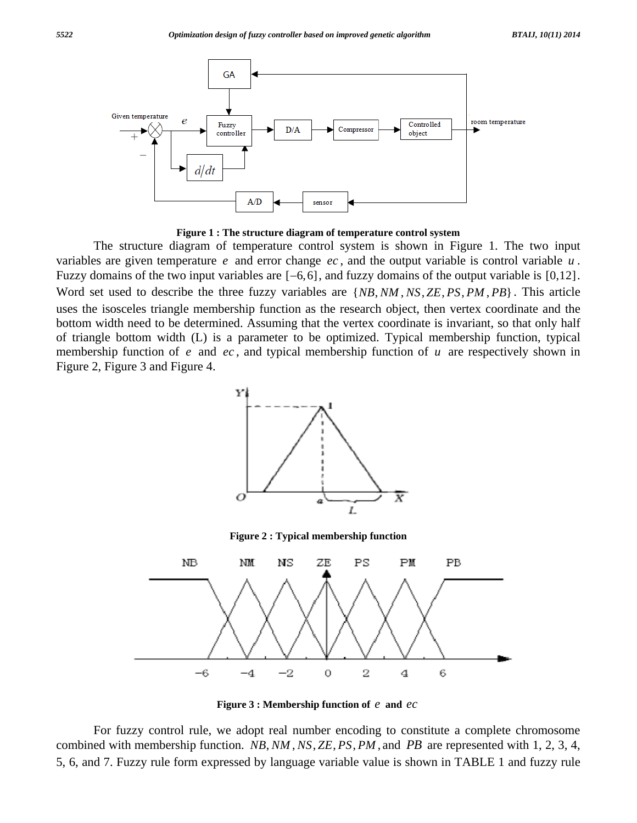

**Figure 1 : The structure diagram of temperature control system** 

 The structure diagram of temperature control system is shown in Figure 1. The two input variables are given temperature *e* and error change *ec* , and the output variable is control variable *u* . Fuzzy domains of the two input variables are  $[-6, 6]$ , and fuzzy domains of the output variable is  $[0, 12]$ . Word set used to describe the three fuzzy variables are  $\{NB, NM, NS, ZE, PS, PM, PB\}$ . This article uses the isosceles triangle membership function as the research object, then vertex coordinate and the bottom width need to be determined. Assuming that the vertex coordinate is invariant, so that only half of triangle bottom width (L) is a parameter to be optimized. Typical membership function, typical membership function of *e* and *ec* , and typical membership function of *u* are respectively shown in Figure 2, Figure 3 and Figure 4.



**Figure 3 : Membership function of** *e* **and** *ec*

 For fuzzy control rule, we adopt real number encoding to constitute a complete chromosome combined with membership function. *NB, NM, NS, ZE, PS, PM*, and *PB* are represented with 1, 2, 3, 4, 5, 6, and 7. Fuzzy rule form expressed by language variable value is shown in TABLE 1 and fuzzy rule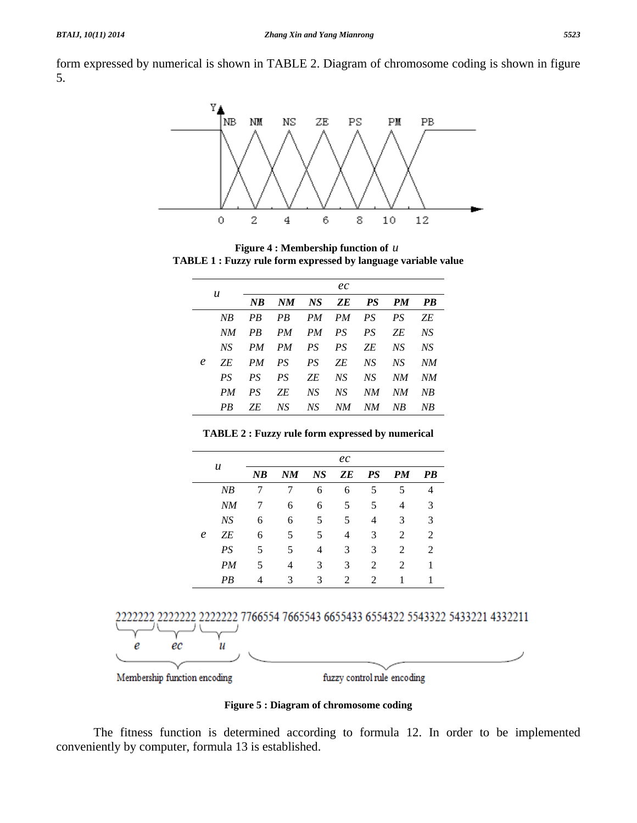form expressed by numerical is shown in TABLE 2. Diagram of chromosome coding is shown in figure 5.



**Figure 4 : Membership function of** *u* **TABLE 1 : Fuzzy rule form expressed by language variable value** 

| u |     | ec           |       |       |          |     |     |    |
|---|-----|--------------|-------|-------|----------|-----|-----|----|
|   |     | $N$ $\bm{B}$ | NM    |       | NS ZE PS |     | PM  | PB |
| e | NR  | PB           | PB    |       | PM PM PS |     | PS  | ZE |
|   | NM  | PR           | PM    | PM PS |          | PS. | ΖE  | NS |
|   | NS. | PM           | PM PS |       | PS       | ΖE  | NS  | NS |
|   | ZE. | PM           | PS    | PS    | 7F.      | NS. | NS. | NM |
|   | PS  | PS           | PS    | ΖE    | NS.      | NS. | NM  | NM |
|   | PM  | PS           | ΖE    | NS    | NS.      | NM  | NМ  | NB |
|   | PB  | ΖE           | NS    | NS    | NM       | NМ  | NB  | NB |

**TABLE 2 : Fuzzy rule form expressed by numerical** 

|            |    | ec |    |    |                |                             |           |           |
|------------|----|----|----|----|----------------|-----------------------------|-----------|-----------|
|            | u  | NB | NM | NS | ZE             | PS                          | <b>PM</b> | <b>PB</b> |
|            | NB | 7  | 7  | 6  | 6              | 5                           | 5         | 4         |
| $\epsilon$ | NM | 7  | 6  | 6  | 5              | 5                           | 4         | 3         |
|            | NS | 6  | 6  | 5  | 5              | 4                           | 3         | 3         |
|            | ΖE | 6  | 5  | 5  | 4              | 3                           | 2         | 2         |
|            | PS | 5  | 5  | 4  | 3              | 3                           | 2         | 2         |
|            | PM | 5  | 4  | 3  | 3              | 2                           | 2         | 1         |
|            | PВ | 4  | 3  | 3  | $\mathfrak{D}$ | $\mathcal{D}_{\mathcal{L}}$ |           |           |



Membership function encoding

fuzzy control rule encoding

**Figure 5 : Diagram of chromosome coding** 

 The fitness function is determined according to formula 12. In order to be implemented conveniently by computer, formula 13 is established.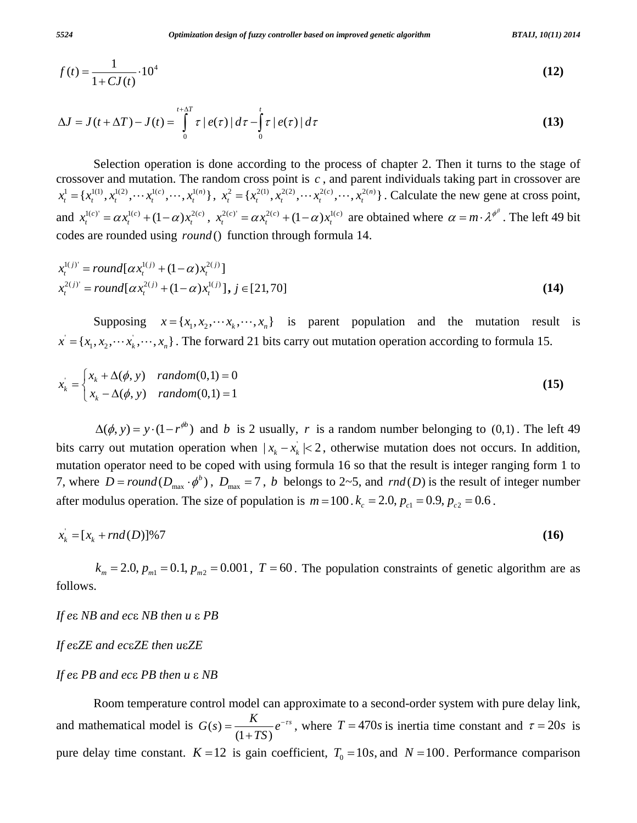$$
f(t) = \frac{1}{1 + CJ(t)} \cdot 10^4
$$
 (12)

$$
\Delta J = J(t + \Delta T) - J(t) = \int_{0}^{t + \Delta T} \tau \left| e(\tau) \right| d\tau - \int_{0}^{t} \tau \left| e(\tau) \right| d\tau \tag{13}
$$

 Selection operation is done according to the process of chapter 2. Then it turns to the stage of crossover and mutation. The random cross point is *c* , and parent individuals taking part in crossover are  $x_t^1 = \{x_t^{1(1)}, x_t^{1(2)}, \dots, x_t^{1(c)}, \dots, x_t^{1(n)}\}, x_t^2 = \{x_t^{2(1)}, x_t^{2(2)}, \dots, x_t^{2(c)}, \dots, x_t^{2(n)}\}.$  Calculate the new gene at cross point, and  $x_t^{1(c)} = \alpha x_t^{1(c)} + (1 - \alpha)x_t^{2(c)}$ ,  $x_t^{2(c)} = \alpha x_t^{2(c)} + (1 - \alpha)x_t^{1(c)}$  are obtained where  $\alpha = m \cdot \lambda^{\phi^{\beta}}$ . The left 49 bit codes are rounded using *round* () function through formula 14.

$$
x_t^{1(j)} = round[\alpha x_t^{1(j)} + (1 - \alpha)x_t^{2(j)}]
$$
  

$$
x_t^{2(j)} = round[\alpha x_t^{2(j)} + (1 - \alpha)x_t^{1(j)}], j \in [21, 70]
$$
 (14)

Supposing  $x = \{x_1, x_2, \dots, x_k, \dots, x_n\}$  is parent population and the mutation result is  $x' = \{x_1, x_2, \dotsm x_k, \dotsm, x_n\}$ . The forward 21 bits carry out mutation operation according to formula 15.

$$
x_k = \begin{cases} x_k + \Delta(\phi, y) & random(0, 1) = 0 \\ x_k - \Delta(\phi, y) & random(0, 1) = 1 \end{cases}
$$
 (15)

 $\Delta(\phi, y) = y \cdot (1 - r^{\phi b})$  and *b* is 2 usually, *r* is a random number belonging to (0,1). The left 49 bits carry out mutation operation when  $|x_k - x_k| < 2$ , otherwise mutation does not occurs. In addition, mutation operator need to be coped with using formula 16 so that the result is integer ranging form 1 to 7, where  $D = round(D_{\text{max}} \cdot \phi^b)$ ,  $D_{\text{max}} = 7$ , *b* belongs to 2~5, and  $rnd(D)$  is the result of integer number after modulus operation. The size of population is  $m = 100$ .  $k_c = 2.0$ ,  $p_{c1} = 0.9$ ,  $p_{c2} = 0.6$ .

$$
x_k = [x_k + rnd(D)]\%7
$$
 (16)

 $k_m = 2.0$ ,  $p_{m1} = 0.1$ ,  $p_{m2} = 0.001$ ,  $T = 60$ . The population constraints of genetic algorithm are as follows.

*If e*ε *NB and ec*ε *NB then u* ε *PB* 

*If e*ε*ZE and ec*ε*ZE then u*ε*ZE* 

## *If e*ε *PB and ec*ε *PB then u* ε *NB*

 Room temperature control model can approximate to a second-order system with pure delay link, and mathematical model is  $G(s) = \frac{K}{(1 + TS)} e^{-rs}$  $=\frac{R}{(1+TS)}e^{-rs}$ , where  $T = 470s$  is inertia time constant and  $\tau = 20s$  is pure delay time constant.  $K = 12$  is gain coefficient,  $T_0 = 10s$ , and  $N = 100$ . Performance comparison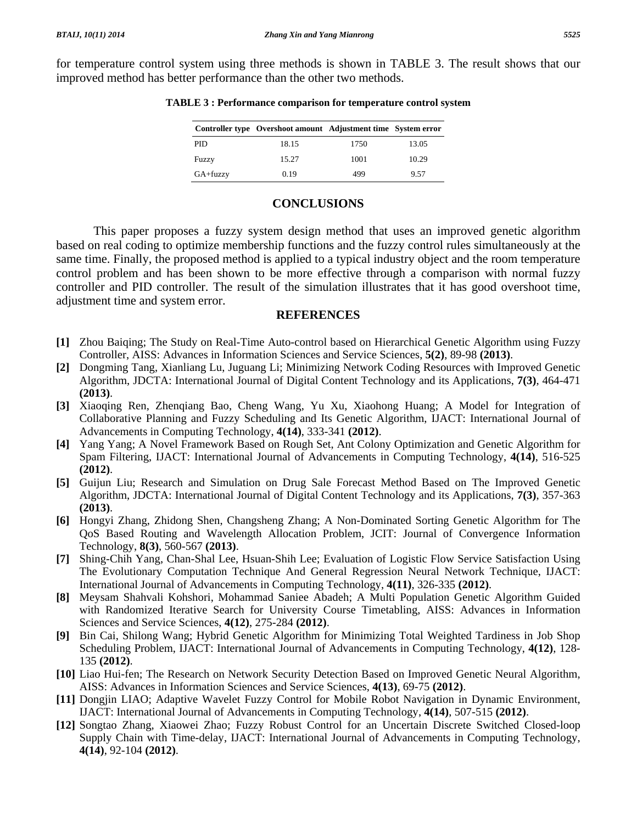for temperature control system using three methods is shown in TABLE 3. The result shows that our improved method has better performance than the other two methods.

|              | Controller type Overshoot amount Adjustment time System error |      |       |
|--------------|---------------------------------------------------------------|------|-------|
| PID          | 18.15                                                         | 1750 | 13.05 |
| Fuzzy        | 15.27                                                         | 1001 | 10.29 |
| $GA + fuzzy$ | 0.19                                                          | 499  | 9.57  |

## **TABLE 3 : Performance comparison for temperature control system**

# **CONCLUSIONS**

 This paper proposes a fuzzy system design method that uses an improved genetic algorithm based on real coding to optimize membership functions and the fuzzy control rules simultaneously at the same time. Finally, the proposed method is applied to a typical industry object and the room temperature control problem and has been shown to be more effective through a comparison with normal fuzzy controller and PID controller. The result of the simulation illustrates that it has good overshoot time, adjustment time and system error.

# **REFERENCES**

- **[1]** Zhou Baiqing; The Study on Real-Time Auto-control based on Hierarchical Genetic Algorithm using Fuzzy Controller, AISS: Advances in Information Sciences and Service Sciences, **5(2)**, 89-98 **(2013)**.
- **[2]** Dongming Tang, Xianliang Lu, Juguang Li; Minimizing Network Coding Resources with Improved Genetic Algorithm, JDCTA: International Journal of Digital Content Technology and its Applications, **7(3)**, 464-471 **(2013)**.
- **[3]** Xiaoqing Ren, Zhenqiang Bao, Cheng Wang, Yu Xu, Xiaohong Huang; A Model for Integration of Collaborative Planning and Fuzzy Scheduling and Its Genetic Algorithm, IJACT: International Journal of Advancements in Computing Technology, **4(14)**, 333-341 **(2012)**.
- **[4]** Yang Yang; A Novel Framework Based on Rough Set, Ant Colony Optimization and Genetic Algorithm for Spam Filtering, IJACT: International Journal of Advancements in Computing Technology, **4(14)**, 516-525 **(2012)**.
- **[5]** Guijun Liu; Research and Simulation on Drug Sale Forecast Method Based on The Improved Genetic Algorithm, JDCTA: International Journal of Digital Content Technology and its Applications, **7(3)**, 357-363 **(2013)**.
- **[6]** Hongyi Zhang, Zhidong Shen, Changsheng Zhang; A Non-Dominated Sorting Genetic Algorithm for The QoS Based Routing and Wavelength Allocation Problem, JCIT: Journal of Convergence Information Technology, **8(3)**, 560-567 **(2013)**.
- **[7]** Shing-Chih Yang, Chan-Shal Lee, Hsuan-Shih Lee; Evaluation of Logistic Flow Service Satisfaction Using The Evolutionary Computation Technique And General Regression Neural Network Technique, IJACT: International Journal of Advancements in Computing Technology, **4(11)**, 326-335 **(2012)**.
- **[8]** Meysam Shahvali Kohshori, Mohammad Saniee Abadeh; A Multi Population Genetic Algorithm Guided with Randomized Iterative Search for University Course Timetabling, AISS: Advances in Information Sciences and Service Sciences, **4(12)**, 275-284 **(2012)**.
- **[9]** Bin Cai, Shilong Wang; Hybrid Genetic Algorithm for Minimizing Total Weighted Tardiness in Job Shop Scheduling Problem, IJACT: International Journal of Advancements in Computing Technology, **4(12)**, 128- 135 **(2012)**.
- **[10]** Liao Hui-fen; The Research on Network Security Detection Based on Improved Genetic Neural Algorithm, AISS: Advances in Information Sciences and Service Sciences, **4(13)**, 69-75 **(2012)**.
- **[11]** Dongjin LIAO; Adaptive Wavelet Fuzzy Control for Mobile Robot Navigation in Dynamic Environment, IJACT: International Journal of Advancements in Computing Technology, **4(14)**, 507-515 **(2012)**.
- **[12]** Songtao Zhang, Xiaowei Zhao; Fuzzy Robust Control for an Uncertain Discrete Switched Closed-loop Supply Chain with Time-delay, IJACT: International Journal of Advancements in Computing Technology, **4(14)**, 92-104 **(2012)**.